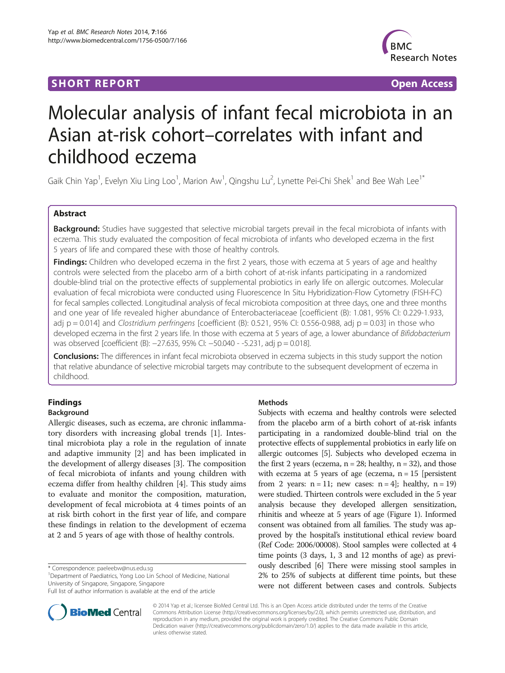## **SHORT REPORT SHORT CONSUMING THE SHORT CONSUMING THE SHORT CONSUMING THE SHORT CONSUMING THE SHORT CONSUMING THE SHORT CONSUMING THE SHORT CONSUMING THE SHORT CONSUMING THE SHORT CONSUMING THE SHORT CONSUMING THE SHORT**



# Molecular analysis of infant fecal microbiota in an Asian at-risk cohort–correlates with infant and childhood eczema

Gaik Chin Yap<sup>1</sup>, Evelyn Xiu Ling Loo<sup>1</sup>, Marion Aw<sup>1</sup>, Qingshu Lu<sup>2</sup>, Lynette Pei-Chi Shek<sup>1</sup> and Bee Wah Lee<sup>1\*</sup>

## Abstract

Background: Studies have suggested that selective microbial targets prevail in the fecal microbiota of infants with eczema. This study evaluated the composition of fecal microbiota of infants who developed eczema in the first 5 years of life and compared these with those of healthy controls.

Findings: Children who developed eczema in the first 2 years, those with eczema at 5 years of age and healthy controls were selected from the placebo arm of a birth cohort of at-risk infants participating in a randomized double-blind trial on the protective effects of supplemental probiotics in early life on allergic outcomes. Molecular evaluation of fecal microbiota were conducted using Fluorescence In Situ Hybridization-Flow Cytometry (FISH-FC) for fecal samples collected. Longitudinal analysis of fecal microbiota composition at three days, one and three months and one year of life revealed higher abundance of Enterobacteriaceae [coefficient (B): 1.081, 95% CI: 0.229-1.933, adj  $p = 0.014$ ] and Clostridium perfringens [coefficient (B): 0.521, 95% CI: 0.556-0.988, adj  $p = 0.03$ ] in those who developed eczema in the first 2 years life. In those with eczema at 5 years of age, a lower abundance of Bifidobacterium was observed [coefficient (B): −27.635, 95% CI: −50.040 - -5.231, adj p = 0.018].

**Conclusions:** The differences in infant fecal microbiota observed in eczema subjects in this study support the notion that relative abundance of selective microbial targets may contribute to the subsequent development of eczema in childhood.

## Findings Background

Allergic diseases, such as eczema, are chronic inflammatory disorders with increasing global trends [[1\]](#page-5-0). Intestinal microbiota play a role in the regulation of innate and adaptive immunity [[2\]](#page-5-0) and has been implicated in the development of allergy diseases [\[3](#page-5-0)]. The composition of fecal microbiota of infants and young children with eczema differ from healthy children [\[4](#page-5-0)]. This study aims to evaluate and monitor the composition, maturation, development of fecal microbiota at 4 times points of an at risk birth cohort in the first year of life, and compare

\* Correspondence: [paeleebw@nus.edu.sg](mailto:paeleebw@nus.edu.sg) <sup>1</sup>

<sup>1</sup>Department of Paediatrics, Yong Loo Lin School of Medicine, National University of Singapore, Singapore, Singapore

these findings in relation to the development of eczema at 2 and 5 years of age with those of healthy controls.

Full list of author information is available at the end of the article



## **Methods**

Subjects with eczema and healthy controls were selected from the placebo arm of a birth cohort of at-risk infants participating in a randomized double-blind trial on the protective effects of supplemental probiotics in early life on allergic outcomes [\[5\]](#page-5-0). Subjects who developed eczema in the first 2 years (eczema,  $n = 28$ ; healthy,  $n = 32$ ), and those with eczema at 5 years of age (eczema,  $n = 15$  [persistent from 2 years:  $n = 11$ ; new cases:  $n = 4$ ; healthy,  $n = 19$ ) were studied. Thirteen controls were excluded in the 5 year analysis because they developed allergen sensitization, rhinitis and wheeze at 5 years of age (Figure [1\)](#page-1-0). Informed consent was obtained from all families. The study was approved by the hospital's institutional ethical review board (Ref Code: 2006/00008). Stool samples were collected at 4 time points (3 days, 1, 3 and 12 months of age) as previously described [\[6](#page-5-0)] There were missing stool samples in 2% to 25% of subjects at different time points, but these were not different between cases and controls. Subjects

© 2014 Yap et al.; licensee BioMed Central Ltd. This is an Open Access article distributed under the terms of the Creative Commons Attribution License [\(http://creativecommons.org/licenses/by/2.0\)](http://creativecommons.org/licenses/by/2.0), which permits unrestricted use, distribution, and reproduction in any medium, provided the original work is properly credited. The Creative Commons Public Domain Dedication waiver [\(http://creativecommons.org/publicdomain/zero/1.0/](http://creativecommons.org/publicdomain/zero/1.0/)) applies to the data made available in this article, unless otherwise stated.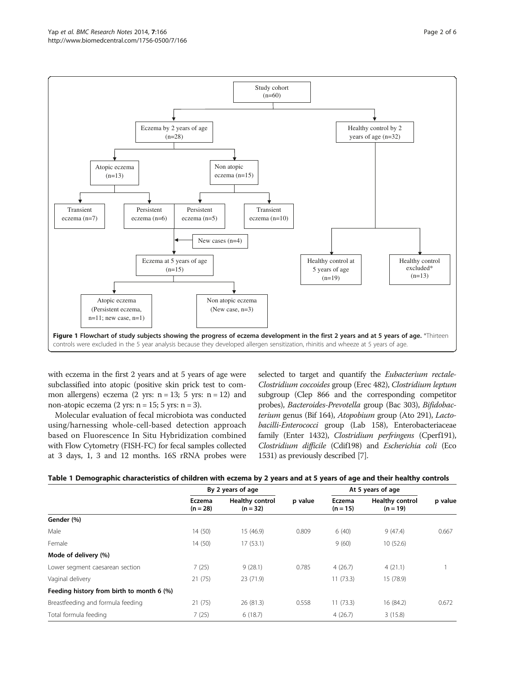<span id="page-1-0"></span>

with eczema in the first 2 years and at 5 years of age were subclassified into atopic (positive skin prick test to common allergens) eczema  $(2 \text{ yrs: } n = 13; 5 \text{ yrs: } n = 12)$  and non-atopic eczema  $(2 \text{ yrs: } n = 15; 5 \text{ yrs: } n = 3)$ .

Molecular evaluation of fecal microbiota was conducted using/harnessing whole-cell-based detection approach based on Fluorescence In Situ Hybridization combined with Flow Cytometry (FISH-FC) for fecal samples collected at 3 days, 1, 3 and 12 months. 16S rRNA probes were

selected to target and quantify the *Eubacterium rectale-*Clostridium coccoides group (Erec 482), Clostridium leptum subgroup (Clep 866 and the corresponding competitor probes), Bacteroides-Prevotella group (Bac 303), Bifidobacterium genus (Bif 164), Atopobium group (Ato 291), Lactobacilli-Enterococci group (Lab 158), Enterobacteriaceae family (Enter 1432), Clostridium perfringens (Cperf191), Clostridium difficile (Cdif198) and Escherichia coli (Eco 1531) as previously described [\[7\]](#page-5-0).

|  |  |  | Table 1 Demographic characteristics of children with eczema by 2 years and at 5 years of age and their healthy controls |  |
|--|--|--|-------------------------------------------------------------------------------------------------------------------------|--|
|  |  |  |                                                                                                                         |  |

|                                           | By 2 years of age    |                                      |         | At 5 years of age    |                                      |         |
|-------------------------------------------|----------------------|--------------------------------------|---------|----------------------|--------------------------------------|---------|
|                                           | Eczema<br>$(n = 28)$ | <b>Healthy control</b><br>$(n = 32)$ | p value | Eczema<br>$(n = 15)$ | <b>Healthy control</b><br>$(n = 19)$ | p value |
| Gender (%)                                |                      |                                      |         |                      |                                      |         |
| Male                                      | 14 (50)              | 15 (46.9)                            | 0.809   | 6(40)                | 9(47.4)                              | 0.667   |
| Female                                    | 14 (50)              | 17(53.1)                             |         | 9(60)                | 10(52.6)                             |         |
| Mode of delivery (%)                      |                      |                                      |         |                      |                                      |         |
| Lower segment caesarean section           | 7(25)                | 9(28.1)                              | 0.785   | 4(26.7)              | 4(21.1)                              |         |
| Vaginal delivery                          | 21(75)               | 23 (71.9)                            |         | 11(73.3)             | 15 (78.9)                            |         |
| Feeding history from birth to month 6 (%) |                      |                                      |         |                      |                                      |         |
| Breastfeeding and formula feeding         | 21(75)               | 26(81.3)                             | 0.558   | 11(73.3)             | 16 (84.2)                            | 0.672   |
| Total formula feeding                     | 7(25)                | 6(18.7)                              |         | 4(26.7)              | 3(15.8)                              |         |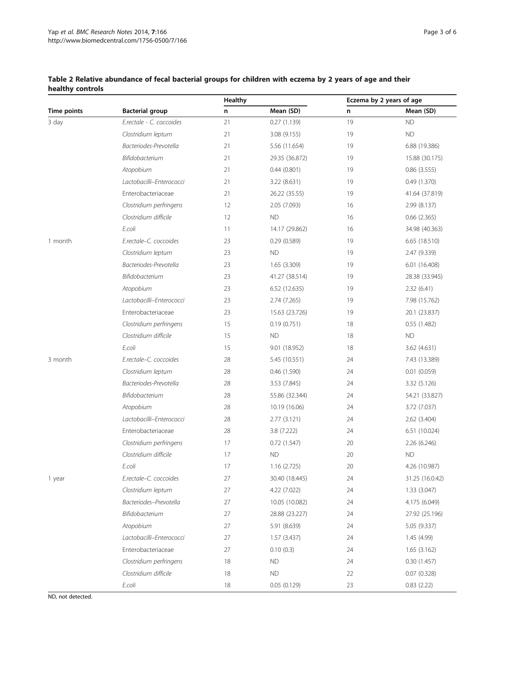## <span id="page-2-0"></span>Table 2 Relative abundance of fecal bacterial groups for children with eczema by 2 years of age and their healthy controls

|                    |                          | Healthy |                | Eczema by 2 years of age |                 |  |
|--------------------|--------------------------|---------|----------------|--------------------------|-----------------|--|
| <b>Time points</b> | <b>Bacterial group</b>   | n       | Mean (SD)      | n                        | Mean (SD)       |  |
| 3 day              | E.rectale - C. coccoides | 21      | 0.27(1.139)    | 19                       | <b>ND</b>       |  |
|                    | Clostridium leptum       | 21      | 3.08(9.155)    | 19                       | <b>ND</b>       |  |
|                    | Bacteriodes-Prevotella   | 21      | 5.56 (11.654)  | 19                       | 6.88 (19.386)   |  |
|                    | Bifidobacterium          | 21      | 29.35 (36.872) | 19                       | 15.88 (30.175)  |  |
|                    | Atopobium                | 21      | 0.44(0.801)    | 19                       | 0.86(3.555)     |  |
|                    | Lactobacilli-Enterococci | 21      | 3.22 (8.631)   | 19                       | 0.49(1.370)     |  |
|                    | Enterobacteriaceae       | 21      | 26.22 (35.55)  | 19                       | 41.64 (37.819)  |  |
|                    | Clostridium perfringens  | 12      | 2.05 (7.093)   | 16                       | 2.99 (8.137)    |  |
|                    | Clostridium difficile    | 12      | <b>ND</b>      | 16                       | 0.66(2.365)     |  |
|                    | E.coli                   | 11      | 14.17 (29.862) | 16                       | 34.98 (40.363)  |  |
| 1 month            | E.rectale-C. coccoides   | 23      | 0.29(0.589)    | 19                       | 6.65(18.510)    |  |
|                    | Clostridium leptum       | 23      | <b>ND</b>      | 19                       | 2.47 (9.339)    |  |
|                    | Bacteriodes-Prevotella   | 23      | 1.65 (3.309)   | 19                       | 6.01 (16.408)   |  |
|                    | Bifidobacterium          | 23      | 41.27 (38.514) | 19                       | 28.38 (33.945)  |  |
|                    | Atopobium                | 23      | 6.52 (12.635)  | 19                       | 2.32(6.41)      |  |
|                    | Lactobacilli-Enterococci | 23      | 2.74 (7.265)   | 19                       | 7.98 (15.762)   |  |
|                    | Enterobacteriaceae       | 23      | 15.63 (23.726) | 19                       | 20.1 (23.837)   |  |
|                    | Clostridium perfringens  | 15      | 0.19(0.751)    | 18                       | 0.55 (1.482)    |  |
|                    | Clostridium difficile    | 15      | <b>ND</b>      | 18                       | <b>ND</b>       |  |
|                    | E.coli                   | 15      | 9.01 (18.952)  | 18                       | 3.62(4.631)     |  |
| 3 month            | E.rectale-C. coccoides   | 28      | 5.45 (10.551)  | 24                       | 7.43 (13.389)   |  |
|                    | Clostridium leptum       | 28      | 0.46(1.590)    | 24                       | 0.01(0.059)     |  |
|                    | Bacteriodes-Prevotella   | 28      | 3.53 (7.845)   | 24                       | 3.32 (5.126)    |  |
|                    | Bifidobacterium          | 28      | 55.86 (32.344) | 24                       | 54.21 (33.827)  |  |
|                    | Atopobium                | 28      | 10.19 (16.06)  | 24                       | 3.72 (7.037)    |  |
|                    | Lactobacilli-Enterococci | 28      | 2.77(3.121)    | 24                       | 2.62 (3.404)    |  |
|                    | Enterobacteriaceae       | 28      | 3.8 (7.222)    | 24                       | 6.51 (10.024)   |  |
|                    | Clostridium perfringens  | 17      | 0.72(1.547)    | 20                       | 2.26 (6.246)    |  |
|                    | Clostridium difficile    | 17      | <b>ND</b>      | 20                       | <b>ND</b>       |  |
|                    | E.coli                   | 17      | 1.16 (2.725)   | 20                       | 4.26 (10.987)   |  |
| 1 year             | E.rectale-C. coccoides   | 27      | 30.40 (18.445) | 24                       | 31.25 (16.0.42) |  |
|                    | Clostridium leptum       | 27      | 4.22 (7.022)   | 24                       | 1.33(3.047)     |  |
|                    | Bacteriodes-Prevotella   | 27      | 10.05 (10.082) | 24                       | 4.175 (6.049)   |  |
|                    | Bifidobacterium          | 27      | 28.88 (23.227) | 24                       | 27.92 (25.196)  |  |
|                    | Atopobium                | 27      | 5.91 (8.639)   | 24                       | 5.05 (9.337)    |  |
|                    | Lactobacilli-Enterococci | 27      | 1.57(3.437)    | 24                       | 1.45 (4.99)     |  |
|                    | Enterobacteriaceae       | 27      | 0.10(0.3)      | 24                       | 1.65(3.162)     |  |
|                    | Clostridium perfringens  | 18      | ND             | 24                       | 0.30(1.457)     |  |
|                    | Clostridium difficile    | 18      | <b>ND</b>      | 22                       | 0.07(0.328)     |  |
|                    | E.coli                   | 18      | 0.05(0.129)    | 23                       | 0.83(2.22)      |  |

ND, not detected.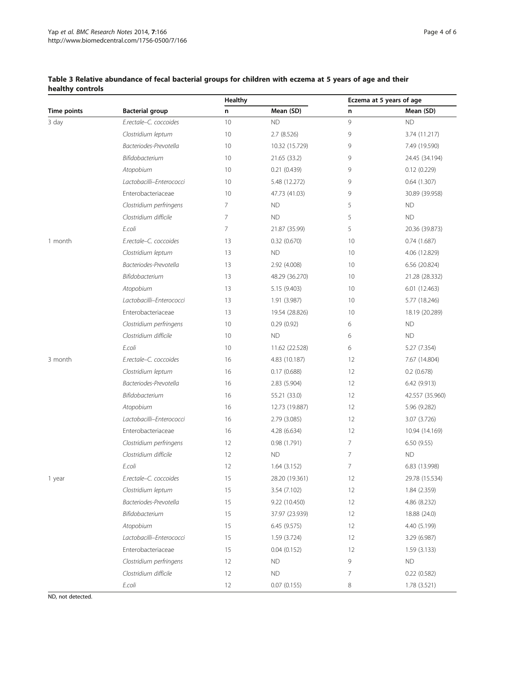## <span id="page-3-0"></span>Table 3 Relative abundance of fecal bacterial groups for children with eczema at 5 years of age and their healthy controls

|                    |                          | <b>Healthy</b> |                | Eczema at 5 years of age |                 |
|--------------------|--------------------------|----------------|----------------|--------------------------|-----------------|
| <b>Time points</b> | <b>Bacterial group</b>   | n              | Mean (SD)      | n                        | Mean (SD)       |
| 3 day              | E.rectale-C. coccoides   | 10             | <b>ND</b>      | 9                        | <b>ND</b>       |
|                    | Clostridium leptum       | 10             | 2.7 (8.526)    | 9                        | 3.74 (11.217)   |
|                    | Bacteriodes-Prevotella   | 10             | 10.32 (15.729) | 9                        | 7.49 (19.590)   |
|                    | Bifidobacterium          | 10             | 21.65 (33.2)   | 9                        | 24.45 (34.194)  |
|                    | Atopobium                | 10             | 0.21(0.439)    | 9                        | 0.12(0.229)     |
|                    | Lactobacilli-Enterococci | 10             | 5.48 (12.272)  | 9                        | 0.64(1.307)     |
|                    | Enterobacteriaceae       | 10             | 47.73 (41.03)  | 9                        | 30.89 (39.958)  |
|                    | Clostridium perfringens  | 7              | <b>ND</b>      | 5                        | <b>ND</b>       |
|                    | Clostridium difficile    | 7              | <b>ND</b>      | 5                        | <b>ND</b>       |
|                    | E.coli                   | 7              | 21.87 (35.99)  | 5                        | 20.36 (39.873)  |
| 1 month            | E.rectale-C. coccoides   | 13             | 0.32(0.670)    | 10                       | 0.74(1.687)     |
|                    | Clostridium leptum       | 13             | <b>ND</b>      | 10                       | 4.06 (12.829)   |
|                    | Bacteriodes-Prevotella   | 13             | 2.92 (4.008)   | 10                       | 6.56 (20.824)   |
|                    | Bifidobacterium          | 13             | 48.29 (36.270) | 10                       | 21.28 (28.332)  |
|                    | Atopobium                | 13             | 5.15 (9.403)   | 10                       | 6.01 (12.463)   |
|                    | Lactobacilli-Enterococci | 13             | 1.91 (3.987)   | 10                       | 5.77 (18.246)   |
|                    | Enterobacteriaceae       | 13             | 19.54 (28.826) | 10                       | 18.19 (20.289)  |
|                    | Clostridium perfringens  | 10             | 0.29(0.92)     | 6                        | <b>ND</b>       |
|                    | Clostridium difficile    | 10             | <b>ND</b>      | 6                        | <b>ND</b>       |
|                    | E.coli                   | 10             | 11.62 (22.528) | 6                        | 5.27 (7.354)    |
| 3 month            | E.rectale-C. coccoides   | 16             | 4.83 (10.187)  | 12                       | 7.67 (14.804)   |
|                    | Clostridium leptum       | 16             | 0.17(0.688)    | 12                       | $0.2$ (0.678)   |
|                    | Bacteriodes-Prevotella   | 16             | 2.83 (5.904)   | 12                       | 6.42 (9.913)    |
|                    | Bifidobacterium          | 16             | 55.21 (33.0)   | 12                       | 42.557 (35.960) |
|                    | Atopobium                | 16             | 12.73 (19.887) | 12                       | 5.96 (9.282)    |
|                    | Lactobacilli-Enterococci | 16             | 2.79 (3.085)   | 12                       | 3.07 (3.726)    |
|                    | Enterobacteriaceae       | 16             | 4.28 (6.634)   | 12                       | 10.94 (14.169)  |
|                    | Clostridium perfringens  | 12             | 0.98(1.791)    | 7                        | 6.50(9.55)      |
|                    | Clostridium difficile    | 12             | <b>ND</b>      | $\overline{7}$           | <b>ND</b>       |
|                    | E.coli                   | 12             | 1.64(3.152)    | $\overline{7}$           | 6.83 (13.998)   |
| 1 year             | E.rectale-C. coccoides   | 15             | 28.20 (19.361) | 12                       | 29.78 (15.534)  |
|                    | Clostridium leptum       | 15             | 3.54 (7.102)   | 12                       | 1.84 (2.359)    |
|                    | Bacteriodes-Prevotella   | 15             | 9.22 (10.450)  | 12                       | 4.86 (8.232)    |
|                    | Bifidobacterium          | 15             | 37.97 (23.939) | 12                       | 18.88 (24.0)    |
|                    | Atopobium                | 15             | 6.45 (9.575)   | 12                       | 4.40 (5.199)    |
|                    | Lactobacilli-Enterococci | 15             | 1.59 (3.724)   | 12                       | 3.29 (6.987)    |
|                    | Enterobacteriaceae       | 15             | 0.04(0.152)    | 12                       | 1.59(3.133)     |
|                    | Clostridium perfringens  | 12             | <b>ND</b>      | 9                        | <b>ND</b>       |
|                    | Clostridium difficile    | 12             | <b>ND</b>      | 7                        | 0.22(0.582)     |
|                    | E.coli                   | 12             | 0.07(0.155)    | 8                        | 1.78 (3.521)    |

ND, not detected.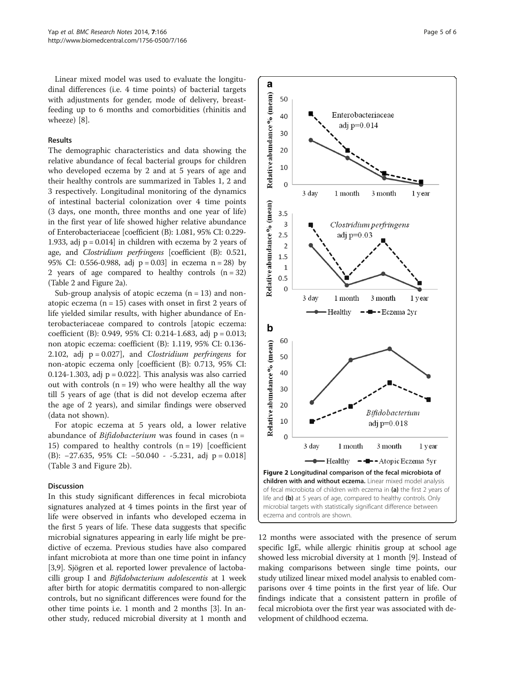Linear mixed model was used to evaluate the longitudinal differences (i.e. 4 time points) of bacterial targets with adjustments for gender, mode of delivery, breastfeeding up to 6 months and comorbidities (rhinitis and wheeze) [[8\]](#page-5-0).

### Results

The demographic characteristics and data showing the relative abundance of fecal bacterial groups for children who developed eczema by 2 and at 5 years of age and their healthy controls are summarized in Tables [1](#page-1-0), [2](#page-2-0) and [3](#page-3-0) respectively. Longitudinal monitoring of the dynamics of intestinal bacterial colonization over 4 time points (3 days, one month, three months and one year of life) in the first year of life showed higher relative abundance of Enterobacteriaceae [coefficient (B): 1.081, 95% CI: 0.229- 1.933, adj  $p = 0.014$ ] in children with eczema by 2 years of age, and Clostridium perfringens [coefficient (B): 0.521, 95% CI: 0.556-0.988, adj p = 0.03] in eczema n = 28) by 2 years of age compared to healthy controls  $(n = 32)$ (Table [2](#page-2-0) and Figure 2a).

Sub-group analysis of atopic eczema  $(n = 13)$  and nonatopic eczema  $(n = 15)$  cases with onset in first 2 years of life yielded similar results, with higher abundance of Enterobacteriaceae compared to controls [atopic eczema: coefficient (B): 0.949, 95% CI: 0.214-1.683, adj p = 0.013; non atopic eczema: coefficient (B): 1.119, 95% CI: 0.136- 2.102, adj  $p = 0.027$ , and *Clostridium perfringens* for non-atopic eczema only [coefficient (B): 0.713, 95% CI: 0.124-1.303, adj  $p = 0.022$ . This analysis was also carried out with controls  $(n = 19)$  who were healthy all the way till 5 years of age (that is did not develop eczema after the age of 2 years), and similar findings were observed (data not shown).

For atopic eczema at 5 years old, a lower relative abundance of *Bifidobacterium* was found in cases  $(n =$ 15) compared to healthy controls  $(n = 19)$  [coefficient] (B): −27.635, 95% CI: −50.040 - -5.231, adj p = 0.018] (Table [3](#page-3-0) and Figure 2b).

## Discussion

In this study significant differences in fecal microbiota signatures analyzed at 4 times points in the first year of life were observed in infants who developed eczema in the first 5 years of life. These data suggests that specific microbial signatures appearing in early life might be predictive of eczema. Previous studies have also compared infant microbiota at more than one time point in infancy [[3,9](#page-5-0)]. Sjögren et al. reported lower prevalence of lactobacilli group I and Bifidobacterium adolescentis at 1 week after birth for atopic dermatitis compared to non-allergic controls, but no significant differences were found for the other time points i.e. 1 month and 2 months [\[3\]](#page-5-0). In another study, reduced microbial diversity at 1 month and



12 months were associated with the presence of serum specific IgE, while allergic rhinitis group at school age showed less microbial diversity at 1 month [\[9](#page-5-0)]. Instead of making comparisons between single time points, our study utilized linear mixed model analysis to enabled comparisons over 4 time points in the first year of life. Our findings indicate that a consistent pattern in profile of fecal microbiota over the first year was associated with development of childhood eczema.